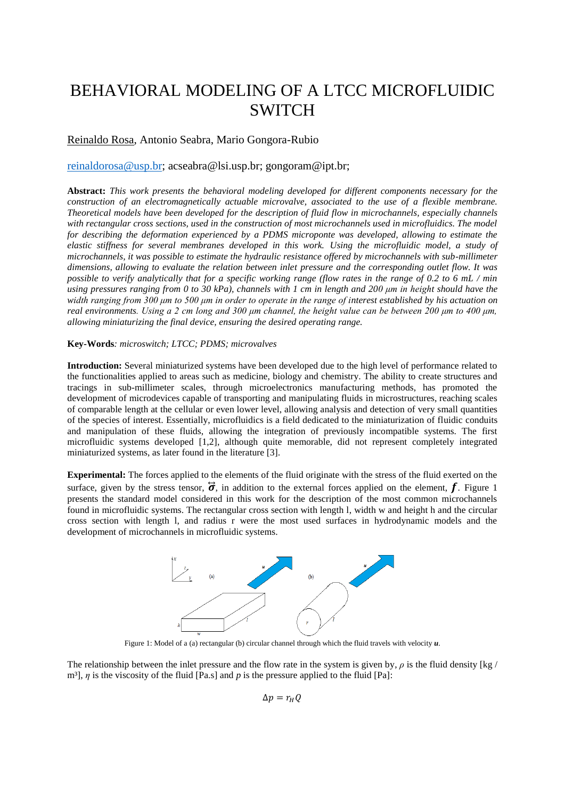# BEHAVIORAL MODELING OF A LTCC MICROFLUIDIC SWITCH

## Reinaldo Rosa, Antonio Seabra, Mario Gongora-Rubio

### [reinaldorosa@usp.br;](mailto:reinaldorosa@usp.br) acseabra@lsi.usp.br; gongoram@ipt.br;

**Abstract:** *This work presents the behavioral modeling developed for different components necessary for the construction of an electromagnetically actuable microvalve, associated to the use of a flexible membrane. Theoretical models have been developed for the description of fluid flow in microchannels, especially channels*  with rectangular cross sections, used in the construction of most microchannels used in microfluidics. The model *for describing the deformation experienced by a PDMS microponte was developed, allowing to estimate the elastic stiffness for several membranes developed in this work. Using the microfluidic model, a study of microchannels, it was possible to estimate the hydraulic resistance offered by microchannels with sub-millimeter dimensions, allowing to evaluate the relation between inlet pressure and the corresponding outlet flow. It was possible to verify analytically that for a specific working range (flow rates in the range of 0.2 to 6 mL / min using pressures ranging from 0 to 30 kPa), channels with 1 cm in length and 200 um in height should have the width ranging from 300 μm to 500 μm in order to operate in the range of interest established by his actuation on real environments. Using a 2 cm long and 300 μm channel, the height value can be between 200 μm to 400 μm, allowing miniaturizing the final device, ensuring the desired operating range.*

#### **Key-Words***: microswitch; LTCC; PDMS; microvalves*

**Introduction:** Several miniaturized systems have been developed due to the high level of performance related to the functionalities applied to areas such as medicine, biology and chemistry. The ability to create structures and tracings in sub-millimeter scales, through microelectronics manufacturing methods, has promoted the development of microdevices capable of transporting and manipulating fluids in microstructures, reaching scales of comparable length at the cellular or even lower level, allowing analysis and detection of very small quantities of the species of interest. Essentially, microfluidics is a field dedicated to the miniaturization of fluidic conduits and manipulation of these fluids, allowing the integration of previously incompatible systems. The first microfluidic systems developed [1,2], although quite memorable, did not represent completely integrated miniaturized systems, as later found in the literature [3].

**Experimental:** The forces applied to the elements of the fluid originate with the stress of the fluid exerted on the surface, given by the stress tensor,  $\vec{\sigma}$ , in addition to the external forces applied on the element,  $\vec{f}$ . Figure 1 presents the standard model considered in this work for the description of the most common microchannels found in microfluidic systems. The rectangular cross section with length l, width w and height h and the circular cross section with length l, and radius r were the most used surfaces in hydrodynamic models and the development of microchannels in microfluidic systems.



Figure 1: Model of a (a) rectangular (b) circular channel through which the fluid travels with velocity *u*.

The relationship between the inlet pressure and the flow rate in the system is given by,  $\rho$  is the fluid density [kg / m³], *η* is the viscosity of the fluid [Pa.s] and *p* is the pressure applied to the fluid [Pa]:

 $\Delta p = r_{H}Q$